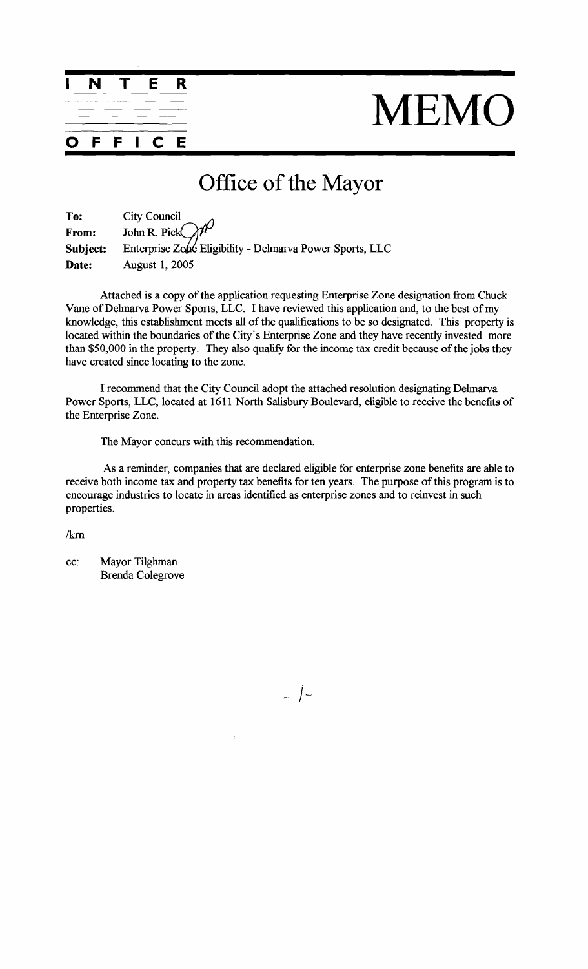

 $\mathbf{l}$ 

C

F

F

E

## MEMO

## Office of the Mayor

| To:      | <b>City Council</b>                                      |
|----------|----------------------------------------------------------|
| From:    | John R. Pick $\bigcirc$                                  |
| Subject: | Enterprise Zone Eligibility - Delmarva Power Sports, LLC |
| Date:    | <b>August 1, 2005</b>                                    |

Attached is a copy of the application requesting Enterprise Zone designation from Chuck Vane of Delmarva Power Sports, LLC. I have reviewed this application and, to the best of my knowledge, this establishment meets **all** of the qualifications to be so designated. This property is located within the boundaries of the City's Enterprise Zone and they have recently invested more than  $$50,000$  in the property. They also qualify for the income tax credit because of the jobs they have created since locating to the zone.

I recommend that the City Council adopt the attached resolution designating Delmarva Power Sports, LLC, located at 1611 North Salisbury Boulevard, eligible to receive the benefits of the Enterprise Zone.

The Mayor concurs with this recommendation.

As a reminder, companies that are declared eligible for enterprise zone benefits are able to receive both income tax and property tax benefits for ten years. The purpose of this program is to encourage industries to locate in areas identified as enterprise zones and to reinvest in such properties.

 $/km$ 

cc: Mayor Tilghman Brenda Colegrove

 $\left(-\right)$ 

 $\bar{t}$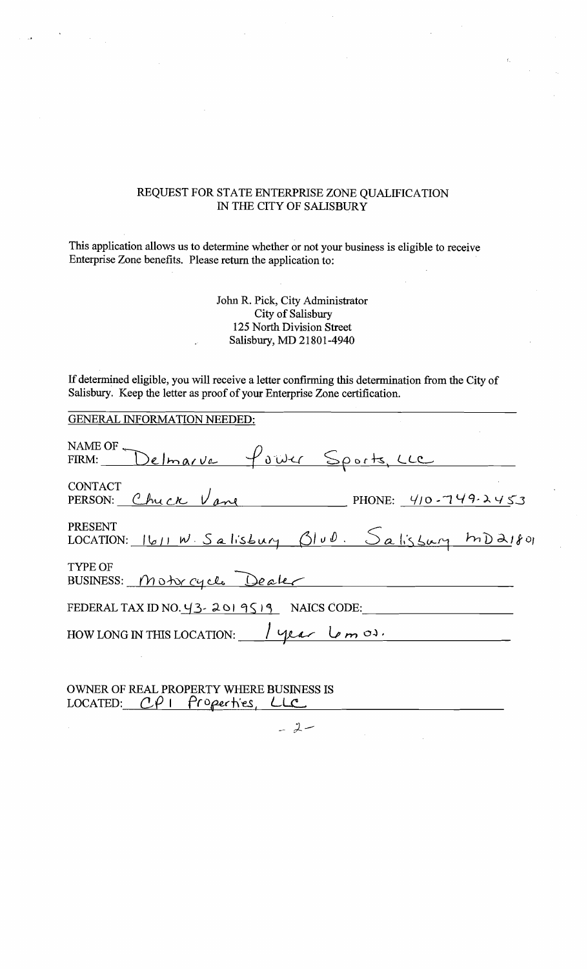## REQUEST FOR STATE ENTERPRISE ZONE QUALIFICATION IN THE CITY OF SALISBURY

This application allows us to determine whether or not your business is eligible to receive Enterprise Zone benefits. Please return the application to:

> John R. Pick, City Administrator City of Salisbury 125 North Division Street Salisbury, MD 21801-4940

If determined eligible, you will receive a letter confirming this determination from the City of Salisbury. Keep the letter as proof of your Enterprise Zone certification.

| <b>GENERAL INFORMATION NEEDED:</b>                              |
|-----------------------------------------------------------------|
| NAME OF Delmarve four Sports, LLC                               |
| <b>CONTACT</b><br>PERSON: Chuck Vane PHONE: 410-749-2453        |
| PRESENT<br>$LOCATION: 1611 W.Salisbury 0100.  Salisbury 100000$ |
| <b>TYPE OF</b><br>BUSINESS: Motor cycle Dealer                  |
| FEDERAL TAX ID NO. $43 - 2019519$ NAICS CODE:                   |
| HOW LONG IN THIS LOCATION: $\frac{1}{\sqrt{2\pi}}$              |
|                                                                 |

OWNER OF REAL PROPERTY WHERE BUSINESS IS LOCATED:  $C\ell$  I <u>properties</u>,  $CLC$ 

 $-2-$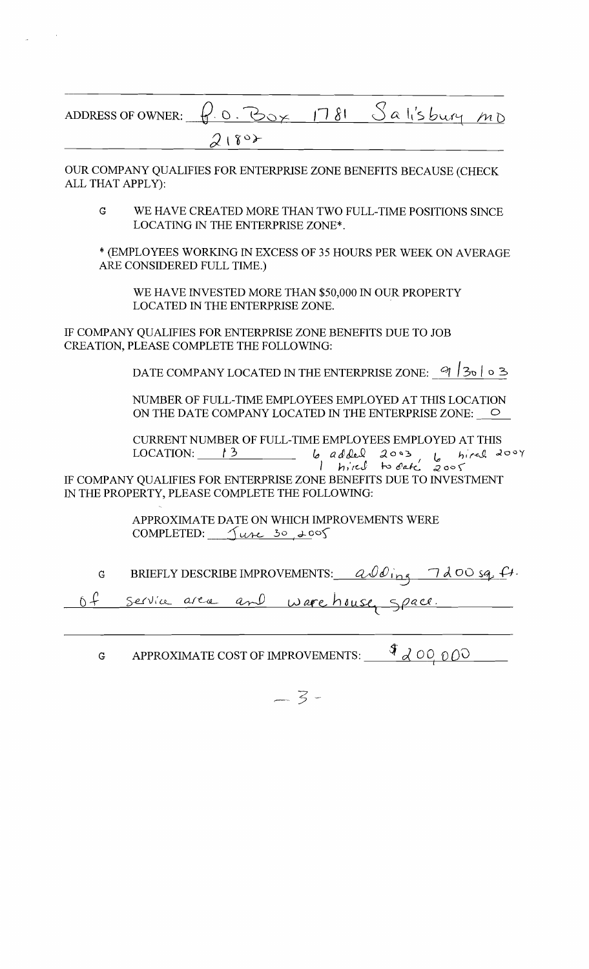| ADDRESS OF OWNER: $f.0.505/1781$ $S$ a lisbury $mD$ |      |  |  |
|-----------------------------------------------------|------|--|--|
|                                                     | 2180 |  |  |

OUR COMPANY QUALIFIES FOR ENTERPRISE ZONE BENEFITS BECAUSE (CHECK ALL THAT APPLY):

 $\overline{G}$ WE HAVE CREATED MORE THAN TWO FULL-TIME POSITIONS SINCE LOCATING IN THE ENTERPRISE ZONE\*.

\* (EMPLOYEES WORKING IN EXCESS OF 35 HOURS PER WEEK ON AVERAGE ARE CONSIDERED FULL TIME.)

WE HAVE INVESTED MORE THAN \$50,000 IN OUR PROPERTY LOCATED IN THE ENTERPRISE ZONE.

IF COMPANY QUALIFIES FOR ENTERPRISE ZONE BENEFITS DUE TO JOB CREATION, PLEASE COMPLETE THE FOLLOWING:

DATE COMPANY LOCATED IN THE ENTERPRISE ZONE:  $9/30/30$  0 3

NUMBER OF FULL-TIME EMPLOYEES EMPLOYED AT THIS LOCATION ON THE DATE COMPANY LOCATED IN THE ENTERPRISE ZONE:  $\bigcirc$ 

CURRENT NUMBER OF FULL-TIME EMPLOYEES EMPLOYED AT THIS LOCATION:  $\frac{13}{2}$ 6 added 2003 6 hired 2004  $2005$ 

IF COMPANY QUALIFIES FOR ENTERPRISE ZONE BENEFITS DUE TO INVESTMENT IN THE PROPERTY, PLEASE COMPLETE THE FOLLOWING:

> APPROXIMATE DATE ON WHICH IMPROVEMENTS WERE COMPLETED:  $\sqrt{uv}$  30, 2005

BRIEFLY DESCRIBE IMPROVEMENTS:  $a\sqrt{d_{\text{ing}}-1}d\theta$  or  $a\neq 1$ .  $\overline{G}$ 

 $0 f$ <u>ware house</u> Space. Service area and

APPROXIMATE COST OF IMPROVEMENTS:  $\frac{9}{4}$   $\partial$  00 000  $\mathbf{G}$ 

 $-3-$